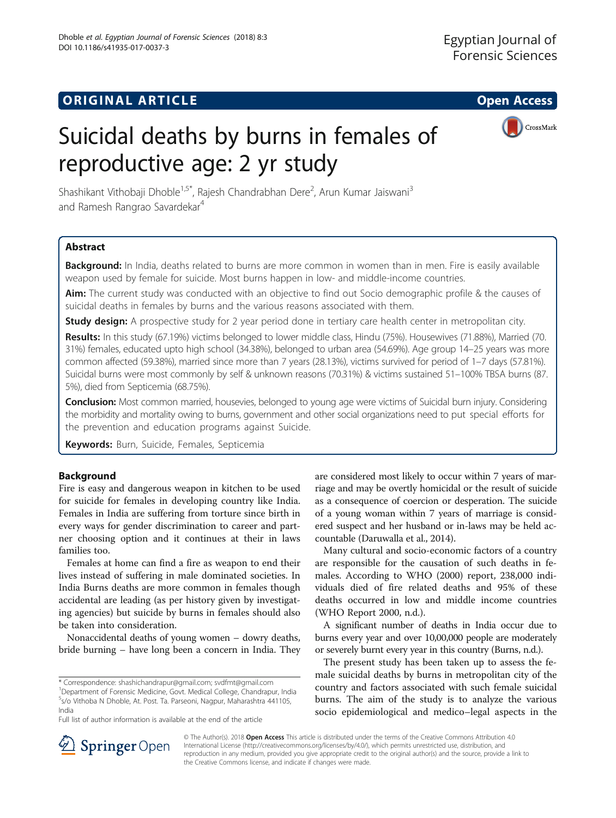

# Suicidal deaths by burns in females of reproductive age: 2 yr study

Shashikant Vithobaji Dhoble<sup>1,5\*</sup>, Rajesh Chandrabhan Dere<sup>2</sup>, Arun Kumar Jaiswani<sup>3</sup> and Ramesh Rangrao Savardekar<sup>4</sup>

# Abstract

Background: In India, deaths related to burns are more common in women than in men. Fire is easily available weapon used by female for suicide. Most burns happen in low- and middle-income countries.

Aim: The current study was conducted with an objective to find out Socio demographic profile & the causes of suicidal deaths in females by burns and the various reasons associated with them.

**Study design:** A prospective study for 2 year period done in tertiary care health center in metropolitan city.

Results: In this study (67.19%) victims belonged to lower middle class, Hindu (75%). Housewives (71.88%), Married (70. 31%) females, educated upto high school (34.38%), belonged to urban area (54.69%). Age group 14–25 years was more common affected (59.38%), married since more than 7 years (28.13%), victims survived for period of 1–7 days (57.81%). Suicidal burns were most commonly by self & unknown reasons (70.31%) & victims sustained 51–100% TBSA burns (87. 5%), died from Septicemia (68.75%).

**Conclusion:** Most common married, housevies, belonged to young age were victims of Suicidal burn injury. Considering the morbidity and mortality owing to burns, government and other social organizations need to put special efforts for the prevention and education programs against Suicide.

Keywords: Burn, Suicide, Females, Septicemia

## Background

Fire is easy and dangerous weapon in kitchen to be used for suicide for females in developing country like India. Females in India are suffering from torture since birth in every ways for gender discrimination to career and partner choosing option and it continues at their in laws families too.

Females at home can find a fire as weapon to end their lives instead of suffering in male dominated societies. In India Burns deaths are more common in females though accidental are leading (as per history given by investigating agencies) but suicide by burns in females should also be taken into consideration.

Nonaccidental deaths of young women – dowry deaths, bride burning – have long been a concern in India. They

Full list of author information is available at the end of the article

are considered most likely to occur within 7 years of marriage and may be overtly homicidal or the result of suicide as a consequence of coercion or desperation. The suicide of a young woman within 7 years of marriage is considered suspect and her husband or in-laws may be held accountable (Daruwalla et al., [2014\)](#page-4-0).

Many cultural and socio-economic factors of a country are responsible for the causation of such deaths in females. According to WHO (2000) report, 238,000 individuals died of fire related deaths and 95% of these deaths occurred in low and middle income countries (WHO Report 2000, [n.d.](#page-4-0)).

A significant number of deaths in India occur due to burns every year and over 10,00,000 people are moderately or severely burnt every year in this country (Burns, [n.d.](#page-4-0)).

The present study has been taken up to assess the female suicidal deaths by burns in metropolitan city of the country and factors associated with such female suicidal burns. The aim of the study is to analyze the various socio epidemiological and medico–legal aspects in the



© The Author(s). 2018 Open Access This article is distributed under the terms of the Creative Commons Attribution 4.0 International License ([http://creativecommons.org/licenses/by/4.0/\)](http://creativecommons.org/licenses/by/4.0/), which permits unrestricted use, distribution, and reproduction in any medium, provided you give appropriate credit to the original author(s) and the source, provide a link to the Creative Commons license, and indicate if changes were made.

<sup>\*</sup> Correspondence: [shashichandrapur@gmail.com;](mailto:shashichandrapur@gmail.com) [svdfmt@gmail.com](mailto:svdfmt@gmail.com) <sup>1</sup>

<sup>&</sup>lt;sup>1</sup>Department of Forensic Medicine, Govt. Medical College, Chandrapur, India 5 s/o Vithoba N Dhoble, At. Post. Ta. Parseoni, Nagpur, Maharashtra 441105, India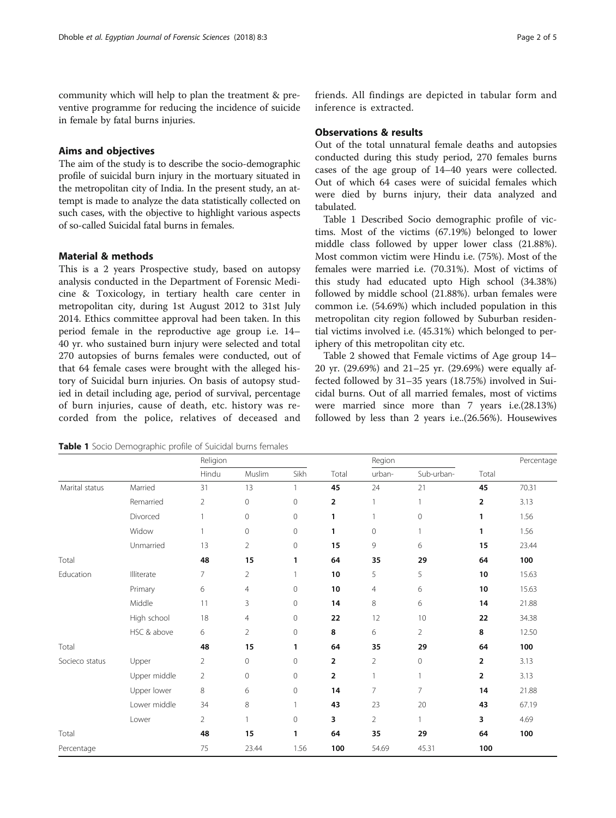community which will help to plan the treatment & preventive programme for reducing the incidence of suicide in female by fatal burns injuries.

# Aims and objectives

The aim of the study is to describe the socio-demographic profile of suicidal burn injury in the mortuary situated in the metropolitan city of India. In the present study, an attempt is made to analyze the data statistically collected on such cases, with the objective to highlight various aspects of so-called Suicidal fatal burns in females.

# Material & methods

This is a 2 years Prospective study, based on autopsy analysis conducted in the Department of Forensic Medicine & Toxicology, in tertiary health care center in metropolitan city, during 1st August 2012 to 31st July 2014. Ethics committee approval had been taken. In this period female in the reproductive age group i.e. 14– 40 yr. who sustained burn injury were selected and total 270 autopsies of burns females were conducted, out of that 64 female cases were brought with the alleged history of Suicidal burn injuries. On basis of autopsy studied in detail including age, period of survival, percentage of burn injuries, cause of death, etc. history was recorded from the police, relatives of deceased and

Table 1 Socio Demographic profile of Suicidal burns females

friends. All findings are depicted in tabular form and inference is extracted.

# Observations & results

Out of the total unnatural female deaths and autopsies conducted during this study period, 270 females burns cases of the age group of 14–40 years were collected. Out of which 64 cases were of suicidal females which were died by burns injury, their data analyzed and tabulated.

Table 1 Described Socio demographic profile of victims. Most of the victims (67.19%) belonged to lower middle class followed by upper lower class (21.88%). Most common victim were Hindu i.e. (75%). Most of the females were married i.e. (70.31%). Most of victims of this study had educated upto High school (34.38%) followed by middle school (21.88%). urban females were common i.e. (54.69%) which included population in this metropolitan city region followed by Suburban residential victims involved i.e. (45.31%) which belonged to periphery of this metropolitan city etc.

Table [2](#page-2-0) showed that Female victims of Age group 14– 20 yr. (29.69%) and 21–25 yr. (29.69%) were equally affected followed by 31–35 years (18.75%) involved in Suicidal burns. Out of all married females, most of victims were married since more than 7 years i.e.(28.13%) followed by less than 2 years i.e..(26.56%). Housewives

|                |              | Religion       |                |              |                | Region              |                |                | Percentage |
|----------------|--------------|----------------|----------------|--------------|----------------|---------------------|----------------|----------------|------------|
|                |              | Hindu          | Muslim         | Sikh         | Total          | urban-              | Sub-urban-     | Total          |            |
| Marital status | Married      | 31             | 13             | $\mathbf{1}$ | 45             | 24                  | 21             | 45             | 70.31      |
|                | Remarried    | $\overline{2}$ | 0              | $\mathbf{0}$ | $\overline{2}$ | $\mathbf{1}$        | 1              | 2              | 3.13       |
|                | Divorced     | $\mathbf{1}$   | $\mathbb O$    | $\mathbf 0$  | 1              | $\mathbf{1}$        | $\mathbf 0$    | 1              | 1.56       |
|                | Widow        | $\mathbf{1}$   | $\mathbb O$    | $\mathbf 0$  | 1              | $\mathsf{O}\xspace$ | 1              | 1              | 1.56       |
|                | Unmarried    | 13             | $\overline{2}$ | $\circ$      | 15             | 9                   | 6              | 15             | 23.44      |
| Total          |              | 48             | 15             | 1            | 64             | 35                  | 29             | 64             | 100        |
| Education      | Illiterate   | $\overline{7}$ | $\overline{2}$ | 1            | 10             | 5                   | 5              | 10             | 15.63      |
|                | Primary      | 6              | $\overline{4}$ | $\mathbf{0}$ | 10             | $\overline{4}$      | 6              | 10             | 15.63      |
|                | Middle       | 11             | 3              | $\circ$      | 14             | 8                   | 6              | 14             | 21.88      |
|                | High school  | 18             | $\overline{4}$ | $\mathbf{0}$ | 22             | 12                  | 10             | 22             | 34.38      |
|                | HSC & above  | 6              | $\overline{2}$ | $\mathbf 0$  | 8              | 6                   | $\overline{2}$ | 8              | 12.50      |
| Total          |              | 48             | 15             | 1            | 64             | 35                  | 29             | 64             | 100        |
| Socieco status | Upper        | $\overline{2}$ | $\mathbf 0$    | $\mathbf{0}$ | $\overline{2}$ | $\overline{2}$      | 0              | $\overline{2}$ | 3.13       |
|                | Upper middle | $\overline{2}$ | $\mathbb O$    | $\mathbf 0$  | $\overline{2}$ | $\mathbf{1}$        | $\mathbf{1}$   | $\overline{2}$ | 3.13       |
|                | Upper lower  | 8              | 6              | $\mathbf{0}$ | 14             | $\overline{7}$      | $\overline{7}$ | 14             | 21.88      |
|                | Lower middle | 34             | 8              |              | 43             | 23                  | 20             | 43             | 67.19      |
|                | Lower        | $\overline{2}$ | 1              | $\mathbf 0$  | 3              | $\overline{2}$      | $\mathbf{1}$   | 3              | 4.69       |
| Total          |              | 48             | 15             | 1            | 64             | 35                  | 29             | 64             | 100        |
| Percentage     |              | 75             | 23.44          | 1.56         | 100            | 54.69               | 45.31          | 100            |            |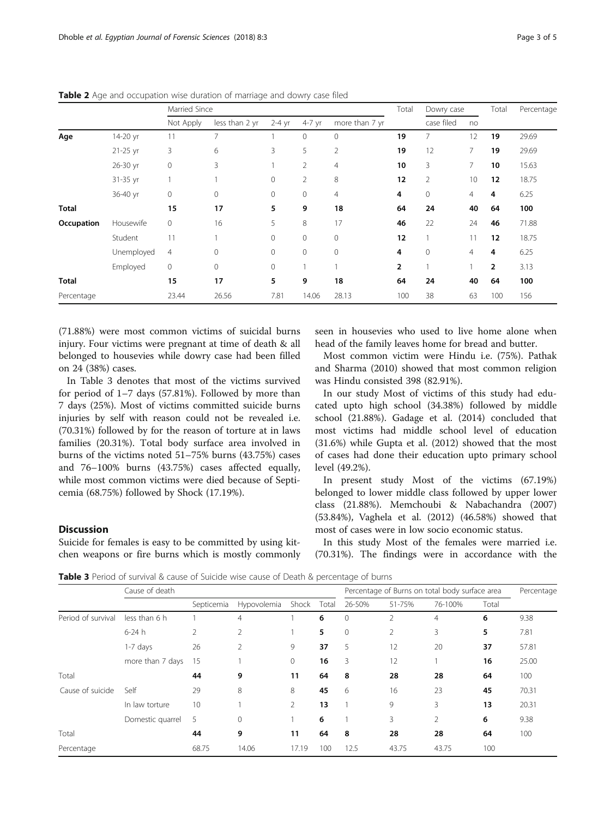|              |            | Married Since  |                |          |                |                | Total          | Dowry case     |                | Total | Percentage |
|--------------|------------|----------------|----------------|----------|----------------|----------------|----------------|----------------|----------------|-------|------------|
|              |            | Not Apply      | less than 2 yr | $2-4$ yr | 4-7 yr         | more than 7 yr |                | case filed     | no             |       |            |
| Age          | 14-20 yr   | 11             | $\overline{7}$ |          | $\mathbf{0}$   | $\mathbf{0}$   | 19             | 7              | 12             | 19    | 29.69      |
|              | $21-25$ yr | 3              | 6              | 3        | 5              | $\overline{2}$ | 19             | 12             | 7              | 19    | 29.69      |
|              | 26-30 yr   | $\mathbf 0$    | 3              |          | 2              | $\overline{4}$ | 10             | 3              | 7              | 10    | 15.63      |
|              | 31-35 yr   |                |                | 0        | $\overline{2}$ | 8              | 12             | $\overline{2}$ | 10             | 12    | 18.75      |
|              | 36-40 yr   | $\mathbf 0$    | $\mathbf 0$    | 0        | $\mathbf{0}$   | $\overline{4}$ | 4              | $\mathbf{0}$   | $\overline{4}$ | 4     | 6.25       |
| <b>Total</b> |            | 15             | 17             | 5        | 9              | 18             | 64             | 24             | 40             | 64    | 100        |
| Occupation   | Housewife  | $\circ$        | 16             | 5        | 8              | 17             | 46             | 22             | 24             | 46    | 71.88      |
|              | Student    | 11             |                | 0        | $\mathbf{0}$   | $\mathbf{0}$   | 12             | 1              | 11             | 12    | 18.75      |
|              | Unemployed | $\overline{4}$ | $\mathbf 0$    | 0        | $\mathbf{0}$   | $\mathbf{0}$   | 4              | $\mathbf{0}$   | $\overline{4}$ | 4     | 6.25       |
|              | Employed   | $\mathbf 0$    | $\mathbf 0$    | 0        |                |                | $\overline{2}$ | 1              |                | 2     | 3.13       |
| <b>Total</b> |            | 15             | 17             | 5        | 9              | 18             | 64             | 24             | 40             | 64    | 100        |
| Percentage   |            | 23.44          | 26.56          | 7.81     | 14.06          | 28.13          | 100            | 38             | 63             | 100   | 156        |

<span id="page-2-0"></span>Table 2 Age and occupation wise duration of marriage and dowry case filed

(71.88%) were most common victims of suicidal burns injury. Four victims were pregnant at time of death & all belonged to housevies while dowry case had been filled on 24 (38%) cases.

In Table 3 denotes that most of the victims survived for period of 1–7 days (57.81%). Followed by more than 7 days (25%). Most of victims committed suicide burns injuries by self with reason could not be revealed i.e. (70.31%) followed by for the reason of torture at in laws families (20.31%). Total body surface area involved in burns of the victims noted 51–75% burns (43.75%) cases and 76–100% burns (43.75%) cases affected equally, while most common victims were died because of Septicemia (68.75%) followed by Shock (17.19%).

# **Discussion**

Suicide for females is easy to be committed by using kitchen weapons or fire burns which is mostly commonly

seen in housevies who used to live home alone when head of the family leaves home for bread and butter.

Most common victim were Hindu i.e. (75%). Pathak and Sharma ([2010](#page-4-0)) showed that most common religion was Hindu consisted 398 (82.91%).

In our study Most of victims of this study had educated upto high school (34.38%) followed by middle school (21.88%). Gadage et al. [\(2014](#page-4-0)) concluded that most victims had middle school level of education (31.6%) while Gupta et al. ([2012](#page-4-0)) showed that the most of cases had done their education upto primary school level (49.2%).

In present study Most of the victims (67.19%) belonged to lower middle class followed by upper lower class (21.88%). Memchoubi & Nabachandra ([2007](#page-4-0)) (53.84%), Vaghela et al. ([2012](#page-4-0)) (46.58%) showed that most of cases were in low socio economic status.

In this study Most of the females were married i.e. (70.31%). The findings were in accordance with the

Table 3 Period of survival & cause of Suicide wise cause of Death & percentage of burns

|                    | Cause of death   |                |                |       |       | $\tilde{\phantom{a}}$<br>Percentage of Burns on total body surface area |                |         |       | Percentage |
|--------------------|------------------|----------------|----------------|-------|-------|-------------------------------------------------------------------------|----------------|---------|-------|------------|
|                    |                  | Septicemia     | Hypovolemia    | Shock | Total | 26-50%                                                                  | 51-75%         | 76-100% | Total |            |
| Period of survival | less than 6 h    |                | 4              |       | 6     | $\mathbf{0}$                                                            | 2              | 4       | 6     | 9.38       |
|                    | $6-24h$          | $\overline{2}$ | $\overline{2}$ |       | 5     | $\mathbf{0}$                                                            | $\overline{2}$ | 3       | 5     | 7.81       |
|                    | $1-7$ days       | 26             | $\overline{2}$ | 9     | 37    | 5                                                                       | 12             | 20      | 37    | 57.81      |
|                    | more than 7 days | 15             |                | 0     | 16    | 3                                                                       | 12             |         | 16    | 25.00      |
| Total              |                  | 44             | 9              | 11    | 64    | 8                                                                       | 28             | 28      | 64    | 100        |
| Cause of suicide   | Self             | 29             | 8              | 8     | 45    | 6                                                                       | 16             | 23      | 45    | 70.31      |
|                    | In law torture   | 10             |                | 2     | 13    |                                                                         | 9              | 3       | 13    | 20.31      |
|                    | Domestic quarrel | 5              | $\mathbf{0}$   |       | 6     |                                                                         | 3              | 2       | 6     | 9.38       |
| Total              |                  | 44             | 9              | 11    | 64    | 8                                                                       | 28             | 28      | 64    | 100        |
| Percentage         |                  | 68.75          | 14.06          | 17.19 | 100   | 12.5                                                                    | 43.75          | 43.75   | 100   |            |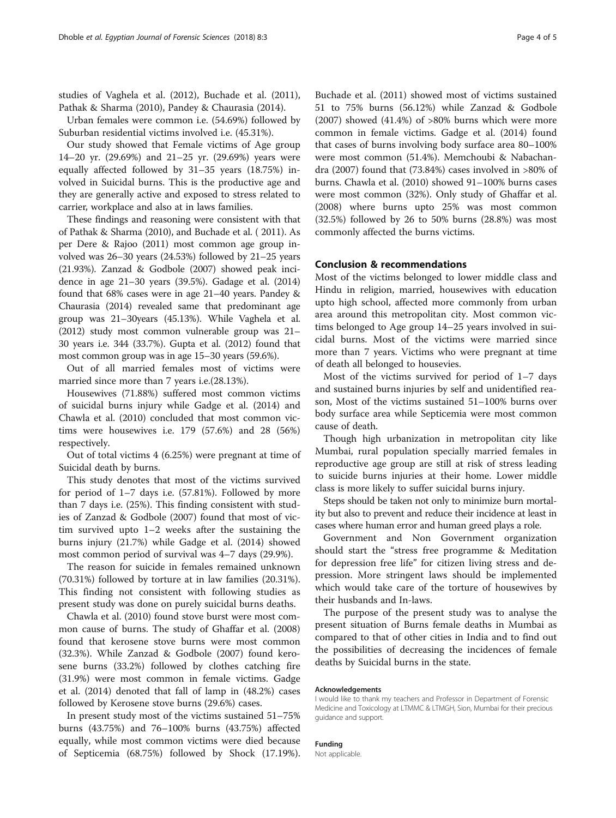studies of Vaghela et al. ([2012](#page-4-0)), Buchade et al. ([2011](#page-4-0)), Pathak & Sharma ([2010](#page-4-0)), Pandey & Chaurasia ([2014](#page-4-0)).

Urban females were common i.e. (54.69%) followed by Suburban residential victims involved i.e. (45.31%).

Our study showed that Female victims of Age group 14–20 yr. (29.69%) and 21–25 yr. (29.69%) years were equally affected followed by 31–35 years (18.75%) involved in Suicidal burns. This is the productive age and they are generally active and exposed to stress related to carrier, workplace and also at in laws families.

These findings and reasoning were consistent with that of Pathak & Sharma [\(2010\)](#page-4-0), and Buchade et al. ( [2011\)](#page-4-0). As per Dere & Rajoo ([2011\)](#page-4-0) most common age group involved was 26–30 years (24.53%) followed by 21–25 years (21.93%). Zanzad & Godbole ([2007\)](#page-4-0) showed peak incidence in age 21–30 years (39.5%). Gadage et al. [\(2014](#page-4-0)) found that 68% cases were in age 21–40 years. Pandey & Chaurasia [\(2014\)](#page-4-0) revealed same that predominant age group was 21–30years (45.13%). While Vaghela et al. ([2012](#page-4-0)) study most common vulnerable group was 21– 30 years i.e. 344 (33.7%). Gupta et al. ([2012\)](#page-4-0) found that most common group was in age 15–30 years (59.6%).

Out of all married females most of victims were married since more than 7 years i.e.(28.13%).

Housewives (71.88%) suffered most common victims of suicidal burns injury while Gadge et al. ([2014\)](#page-4-0) and Chawla et al. [\(2010](#page-4-0)) concluded that most common victims were housewives i.e. 179 (57.6%) and 28 (56%) respectively.

Out of total victims 4 (6.25%) were pregnant at time of Suicidal death by burns.

This study denotes that most of the victims survived for period of 1–7 days i.e. (57.81%). Followed by more than 7 days i.e. (25%). This finding consistent with studies of Zanzad & Godbole [\(2007](#page-4-0)) found that most of victim survived upto 1–2 weeks after the sustaining the burns injury (21.7%) while Gadge et al. ([2014](#page-4-0)) showed most common period of survival was 4–7 days (29.9%).

The reason for suicide in females remained unknown (70.31%) followed by torture at in law families (20.31%). This finding not consistent with following studies as present study was done on purely suicidal burns deaths.

Chawla et al. [\(2010](#page-4-0)) found stove burst were most common cause of burns. The study of Ghaffar et al. ([2008](#page-4-0)) found that kerosene stove burns were most common (32.3%). While Zanzad & Godbole ([2007](#page-4-0)) found kerosene burns (33.2%) followed by clothes catching fire (31.9%) were most common in female victims. Gadge et al. [\(2014\)](#page-4-0) denoted that fall of lamp in (48.2%) cases followed by Kerosene stove burns (29.6%) cases.

In present study most of the victims sustained 51–75% burns (43.75%) and 76–100% burns (43.75%) affected equally, while most common victims were died because of Septicemia (68.75%) followed by Shock (17.19%).

Buchade et al. ([2011](#page-4-0)) showed most of victims sustained 51 to 75% burns (56.12%) while Zanzad & Godbole  $(2007)$  $(2007)$  showed  $(41.4\%)$  of  $>80\%$  burns which were more common in female victims. Gadge et al. ([2014\)](#page-4-0) found that cases of burns involving body surface area 80–100% were most common (51.4%). Memchoubi & Nabachandra [\(2007\)](#page-4-0) found that (73.84%) cases involved in >80% of burns. Chawla et al. ([2010\)](#page-4-0) showed 91–100% burns cases were most common (32%). Only study of Ghaffar et al. ([2008\)](#page-4-0) where burns upto 25% was most common (32.5%) followed by 26 to 50% burns (28.8%) was most commonly affected the burns victims.

## Conclusion & recommendations

Most of the victims belonged to lower middle class and Hindu in religion, married, housewives with education upto high school, affected more commonly from urban area around this metropolitan city. Most common victims belonged to Age group 14–25 years involved in suicidal burns. Most of the victims were married since more than 7 years. Victims who were pregnant at time of death all belonged to housevies.

Most of the victims survived for period of 1–7 days and sustained burns injuries by self and unidentified reason, Most of the victims sustained 51–100% burns over body surface area while Septicemia were most common cause of death.

Though high urbanization in metropolitan city like Mumbai, rural population specially married females in reproductive age group are still at risk of stress leading to suicide burns injuries at their home. Lower middle class is more likely to suffer suicidal burns injury.

Steps should be taken not only to minimize burn mortality but also to prevent and reduce their incidence at least in cases where human error and human greed plays a role.

Government and Non Government organization should start the "stress free programme & Meditation for depression free life" for citizen living stress and depression. More stringent laws should be implemented which would take care of the torture of housewives by their husbands and In-laws.

The purpose of the present study was to analyse the present situation of Burns female deaths in Mumbai as compared to that of other cities in India and to find out the possibilities of decreasing the incidences of female deaths by Suicidal burns in the state.

#### Acknowledgements

I would like to thank my teachers and Professor in Department of Forensic Medicine and Toxicology at LTMMC & LTMGH, Sion, Mumbai for their precious guidance and support.

## Funding

Not applicable.